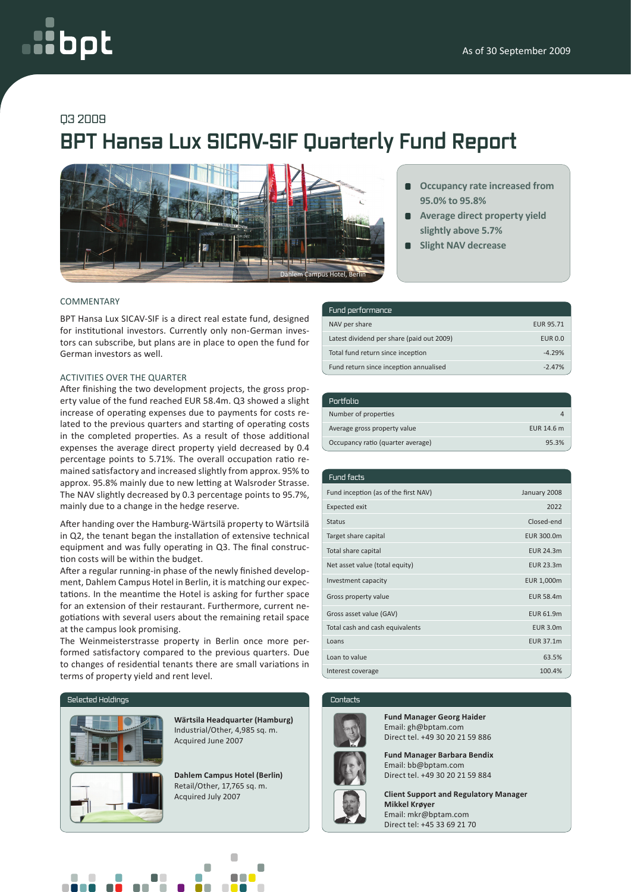# oot

# Q3 2009

# **BPT Hansa Lux SICAV-SIF Quarterly Fund Report**



- **Occupancy rate increased from 95.0% to 95.8%**
- **Average direct property yield slightly above 5.7%**
- **Slight NAV decrease**

# **COMMENTARY**

BPT Hansa Lux SICAV-SIF is a direct real estate fund, designed for institutional investors. Currently only non-German investors can subscribe, but plans are in place to open the fund for German investors as well.

# Activities over the quarter

After finishing the two development projects, the gross property value of the fund reached EUR 58.4m. Q3 showed a slight increase of operating expenses due to payments for costs related to the previous quarters and starting of operating costs in the completed properties. As a result of those additional expenses the average direct property yield decreased by 0.4 percentage points to 5.71%. The overall occupation ratio remained satisfactory and increased slightly from approx. 95% to approx. 95.8% mainly due to new letting at Walsroder Strasse. The NAV slightly decreased by 0.3 percentage points to 95.7%, mainly due to a change in the hedge reserve.

After handing over the Hamburg-Wärtsilä property to Wärtsilä in Q2, the tenant began the installation of extensive technical equipment and was fully operating in Q3. The final construction costs will be within the budget.

After a regular running-in phase of the newly finished development, Dahlem Campus Hotel in Berlin, it is matching our expectations. In the meantime the Hotel is asking for further space for an extension of their restaurant. Furthermore, current negotiations with several users about the remaining retail space at the campus look promising.

The Weinmeisterstrasse property in Berlin once more performed satisfactory compared to the previous quarters. Due to changes of residential tenants there are small variations in terms of property yield and rent level.

#### Selected Holdings



**Wärtsila Headquarter (Hamburg)** Industrial/Other, 4,985 sq. m. Acquired June 2007

Retail/Other, 17,765 sq. m.

| Fund performance                          |                  |
|-------------------------------------------|------------------|
| NAV per share                             | <b>EUR 95.71</b> |
| Latest dividend per share (paid out 2009) | <b>EUR 0.0</b>   |
| Total fund return since inception         | $-4.29%$         |
| Fund return since inception annualised    | $-247%$          |

| Portfolio                         |            |
|-----------------------------------|------------|
| Number of properties              | д          |
| Average gross property value      | EUR 14.6 m |
| Occupancy ratio (quarter average) | 95.3%      |

| <b>Fund facts</b>                    |                  |
|--------------------------------------|------------------|
| Fund inception (as of the first NAV) | January 2008     |
| <b>Expected exit</b>                 | 2022             |
| <b>Status</b>                        | Closed-end       |
| Target share capital                 | EUR 300.0m       |
| Total share capital                  | <b>EUR 24.3m</b> |
| Net asset value (total equity)       | <b>EUR 23.3m</b> |
| Investment capacity                  | EUR 1,000m       |
| Gross property value                 | <b>EUR 58.4m</b> |
| Gross asset value (GAV)              | <b>EUR 61.9m</b> |
| Total cash and cash equivalents      | <b>EUR 3.0m</b>  |
| Loans                                | EUR 37.1m        |
| Loan to value                        | 63.5%            |
| Interest coverage                    | 100.4%           |

#### Contacts



**Fund Manager Georg Haider** Email: gh@bptam.com Direct tel. +49 30 20 21 59 886

**Fund Manager Barbara Bendix** Email: bb@bptam.com **Dahlem Campus Hotel (Berlin)** | **Direct tel. +49 30 20 21 59 884** 

Acquired July 2007 **Client Support and Regulatory Manager Mikkel Krøyer** Email: mkr@bptam.com Direct tel: +45 33 69 21 70